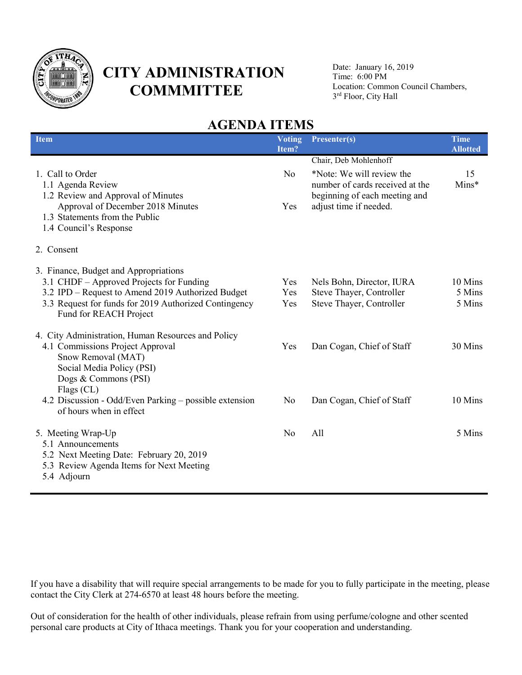

# **CITY ADMINISTRATION COMMMITTEE**

Date: January 16, 2019 Time: 6:00 PM Location: Common Council Chambers, 3 rd Floor, City Hall

# **AGENDA ITEMS**

| <b>Item</b>                                                                                                                                                                                                               | <b>Voting</b><br>Item? | Presenter(s)                                                                                                           | <b>Time</b><br><b>Allotted</b> |
|---------------------------------------------------------------------------------------------------------------------------------------------------------------------------------------------------------------------------|------------------------|------------------------------------------------------------------------------------------------------------------------|--------------------------------|
| 1. Call to Order<br>1.1 Agenda Review<br>1.2 Review and Approval of Minutes                                                                                                                                               | N <sub>0</sub>         | Chair, Deb Mohlenhoff<br>*Note: We will review the<br>number of cards received at the<br>beginning of each meeting and | 15<br>Mins*                    |
| Approval of December 2018 Minutes<br>1.3 Statements from the Public<br>1.4 Council's Response                                                                                                                             | Yes                    | adjust time if needed.                                                                                                 |                                |
| 2. Consent                                                                                                                                                                                                                |                        |                                                                                                                        |                                |
| 3. Finance, Budget and Appropriations<br>3.1 CHDF – Approved Projects for Funding<br>3.2 IPD – Request to Amend 2019 Authorized Budget<br>3.3 Request for funds for 2019 Authorized Contingency<br>Fund for REACH Project | Yes<br>Yes<br>Yes      | Nels Bohn, Director, IURA<br>Steve Thayer, Controller<br>Steve Thayer, Controller                                      | 10 Mins<br>5 Mins<br>5 Mins    |
| 4. City Administration, Human Resources and Policy<br>4.1 Commissions Project Approval<br>Snow Removal (MAT)<br>Social Media Policy (PSI)<br>Dogs & Commons (PSI)<br>Flags (CL)                                           | Yes                    | Dan Cogan, Chief of Staff                                                                                              | 30 Mins                        |
| 4.2 Discussion - Odd/Even Parking - possible extension<br>of hours when in effect                                                                                                                                         | No                     | Dan Cogan, Chief of Staff                                                                                              | 10 Mins                        |
| 5. Meeting Wrap-Up<br>5.1 Announcements<br>5.2 Next Meeting Date: February 20, 2019<br>5.3 Review Agenda Items for Next Meeting<br>5.4 Adjourn                                                                            | N <sub>0</sub>         | All                                                                                                                    | 5 Mins                         |

If you have a disability that will require special arrangements to be made for you to fully participate in the meeting, please contact the City Clerk at 274-6570 at least 48 hours before the meeting.

Out of consideration for the health of other individuals, please refrain from using perfume/cologne and other scented personal care products at City of Ithaca meetings. Thank you for your cooperation and understanding.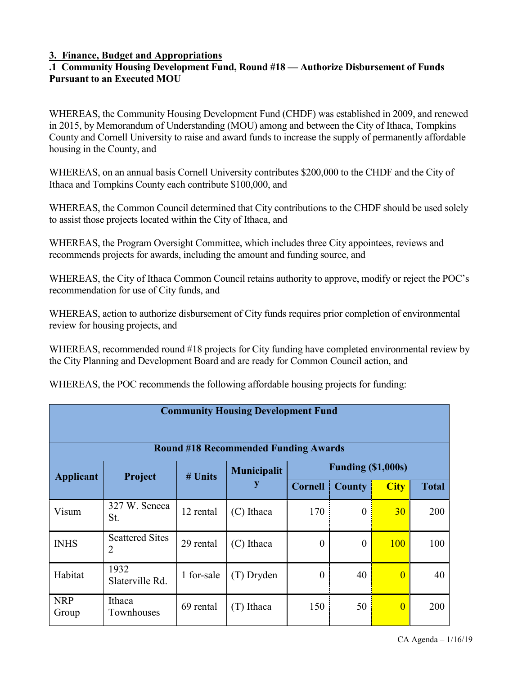#### **3. Finance, Budget and Appropriations**

#### **.1 Community Housing Development Fund, Round #18 — Authorize Disbursement of Funds Pursuant to an Executed MOU**

WHEREAS, the Community Housing Development Fund (CHDF) was established in 2009, and renewed in 2015, by Memorandum of Understanding (MOU) among and between the City of Ithaca, Tompkins County and Cornell University to raise and award funds to increase the supply of permanently affordable housing in the County, and

WHEREAS, on an annual basis Cornell University contributes \$200,000 to the CHDF and the City of Ithaca and Tompkins County each contribute \$100,000, and

WHEREAS, the Common Council determined that City contributions to the CHDF should be used solely to assist those projects located within the City of Ithaca, and

WHEREAS, the Program Oversight Committee, which includes three City appointees, reviews and recommends projects for awards, including the amount and funding source, and

WHEREAS, the City of Ithaca Common Council retains authority to approve, modify or reject the POC's recommendation for use of City funds, and

WHEREAS, action to authorize disbursement of City funds requires prior completion of environmental review for housing projects, and

WHEREAS, recommended round #18 projects for City funding have completed environmental review by the City Planning and Development Board and are ready for Common Council action, and

|                     | <b>Community Housing Development Fund</b> |            |                                             |                  |                  |                    |              |  |
|---------------------|-------------------------------------------|------------|---------------------------------------------|------------------|------------------|--------------------|--------------|--|
|                     |                                           |            | <b>Round #18 Recommended Funding Awards</b> |                  |                  |                    |              |  |
| <b>Applicant</b>    | Project                                   | # Units    | <b>Municipalit</b>                          |                  |                  | Funding (\$1,000s) |              |  |
|                     |                                           |            | y                                           | <b>Cornell</b>   | County           | <b>City</b>        | <b>Total</b> |  |
| Visum               | 327 W. Seneca<br>St.                      | 12 rental  | (C) Ithaca                                  | 170              | $\boldsymbol{0}$ | 30 <sup>°</sup>    | 200          |  |
| <b>INHS</b>         | <b>Scattered Sites</b><br>$\overline{2}$  | 29 rental  | (C) Ithaca                                  | $\boldsymbol{0}$ | $\boldsymbol{0}$ | <b>100</b>         | 100          |  |
| Habitat             | 1932<br>Slaterville Rd.                   | 1 for-sale | (T) Dryden                                  | $\theta$         | 40               | $\overline{0}$     | 40           |  |
| <b>NRP</b><br>Group | Ithaca<br>Townhouses                      | 69 rental  | (T) Ithaca                                  | 150              | 50               | $\overline{0}$     | 200          |  |

WHEREAS, the POC recommends the following affordable housing projects for funding: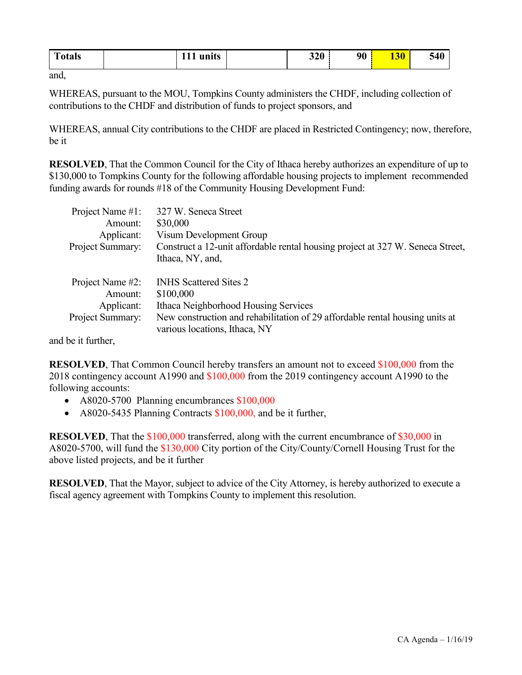| $\mathbf{r}$<br>`otals<br>units | 320 | 90 | <b>130</b> | 540 |
|---------------------------------|-----|----|------------|-----|
|---------------------------------|-----|----|------------|-----|

and,

WHEREAS, pursuant to the MOU, Tompkins County administers the CHDF, including collection of contributions to the CHDF and distribution of funds to project sponsors, and

WHEREAS, annual City contributions to the CHDF are placed in Restricted Contingency; now, therefore, be it

**RESOLVED**, That the Common Council for the City of Ithaca hereby authorizes an expenditure of up to \$130,000 to Tompkins County for the following affordable housing projects to implement recommended funding awards for rounds #18 of the Community Housing Development Fund:

| Project Name #1:<br>Amount: | 327 W. Seneca Street<br>\$30,000                                                                              |
|-----------------------------|---------------------------------------------------------------------------------------------------------------|
| Applicant:                  | Visum Development Group                                                                                       |
| Project Summary:            | Construct a 12-unit affordable rental housing project at 327 W. Seneca Street,<br>Ithaca, NY, and,            |
| Project Name #2:<br>Amount: | <b>INHS</b> Scattered Sites 2<br>\$100,000                                                                    |
| Applicant:                  | Ithaca Neighborhood Housing Services                                                                          |
| Project Summary:            | New construction and rehabilitation of 29 affordable rental housing units at<br>various locations, Ithaca, NY |

and be it further,

**RESOLVED**, That Common Council hereby transfers an amount not to exceed \$100,000 from the 2018 contingency account A1990 and \$100,000 from the 2019 contingency account A1990 to the following accounts:

- A8020-5700 Planning encumbrances \$100,000
- A8020-5435 Planning Contracts \$100,000, and be it further,

**RESOLVED**, That the \$100,000 transferred, along with the current encumbrance of \$30,000 in A8020-5700, will fund the \$130,000 City portion of the City/County/Cornell Housing Trust for the above listed projects, and be it further

**RESOLVED**, That the Mayor, subject to advice of the City Attorney, is hereby authorized to execute a fiscal agency agreement with Tompkins County to implement this resolution.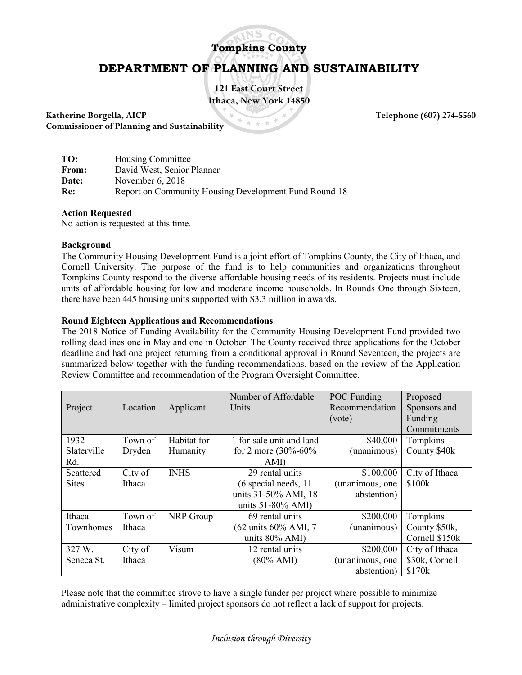

## **Tompkins County**

# **DEPARTMENT OF PLANNING AND SUSTAINABILITY**

**121 East Court Street Ithaca, New York 14850**

**Katherine Borgella, AICP Telephone (607) 274-5560**<br> **Commissioner of Planning and Sustainability Commissioner of Planning and Sustainability**

| TO:   | <b>Housing Committee</b>                              |
|-------|-------------------------------------------------------|
| From: | David West, Senior Planner                            |
| Date: | November $6, 2018$                                    |
| Re:   | Report on Community Housing Development Fund Round 18 |

#### **Action Requested**

No action is requested at this time.

#### **Background**

The Community Housing Development Fund is a joint effort of Tompkins County, the City of Ithaca, and Cornell University. The purpose of the fund is to help communities and organizations throughout Tompkins County respond to the diverse affordable housing needs of its residents. Projects must include units of affordable housing for low and moderate income households. In Rounds One through Sixteen, there have been 445 housing units supported with \$3.3 million in awards.

#### **Round Eighteen Applications and Recommendations**

The 2018 Notice of Funding Availability for the Community Housing Development Fund provided two rolling deadlines one in May and one in October. The County received three applications for the October deadline and had one project returning from a conditional approval in Round Seventeen, the projects are summarized below together with the funding recommendations, based on the review of the Application Review Committee and recommendation of the Program Oversight Committee.

|              |          |             | Number of Affordable      | <b>POC</b> Funding | Proposed       |
|--------------|----------|-------------|---------------------------|--------------------|----------------|
| Project      | Location | Applicant   | Units                     | Recommendation     | Sponsors and   |
|              |          |             |                           | (vote)             | Funding        |
|              |          |             |                           |                    | Commitments    |
| 1932         | Town of  | Habitat for | 1 for-sale unit and land  | \$40,000           | Tompkins       |
| Slaterville  | Dryden   | Humanity    | for 2 more $(30\% - 60\%$ | (unanimous)        | County \$40k   |
| Rd.          |          |             | AMI)                      |                    |                |
| Scattered    | City of  | <b>INHS</b> | 29 rental units           | \$100,000          | City of Ithaca |
| <b>Sites</b> | Ithaca   |             | (6 special needs, 11      | (unanimous, one    | \$100k         |
|              |          |             | units 31-50% AMI, 18      | abstention)        |                |
|              |          |             | units $51-80\%$ AMI)      |                    |                |
| Ithaca       | Town of  | NRP Group   | 69 rental units           | \$200,000          | Tompkins       |
| Townhomes    | Ithaca   |             | (62 units 60% AMI, 7)     | (unanimous)        | County \$50k,  |
|              |          |             | units 80% AMI)            |                    | Cornell \$150k |
| 327 W.       | City of  | Visum       | 12 rental units           | \$200,000          | City of Ithaca |
| Seneca St.   | Ithaca   |             | $(80\% \text{ AMI})$      | (unanimous, one    | \$30k, Cornell |
|              |          |             |                           | abstention)        | \$170k         |

Please note that the committee strove to have a single funder per project where possible to minimize administrative complexity – limited project sponsors do not reflect a lack of support for projects.

*Inclusion through Diversity*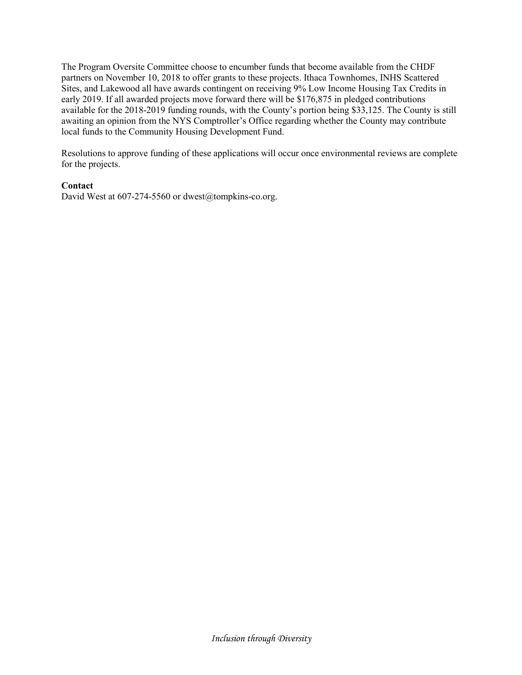The Program Oversite Committee choose to encumber funds that become available from the CHDF partners on November 10, 2018 to offer grants to these projects. Ithaca Townhomes, INHS Scattered Sites, and Lakewood all have awards contingent on receiving 9% Low Income Housing Tax Credits in early 2019. If all awarded projects move forward there will be \$176,875 in pledged contributions available for the 2018-2019 funding rounds, with the County's portion being \$33,125. The County is still awaiting an opinion from the NYS Comptroller's Office regarding whether the County may contribute local funds to the Community Housing Development Fund.

Resolutions to approve funding of these applications will occur once environmental reviews are complete for the projects.

#### **Contact**

David West at 607-274-5560 or dwest@tompkins-co.org.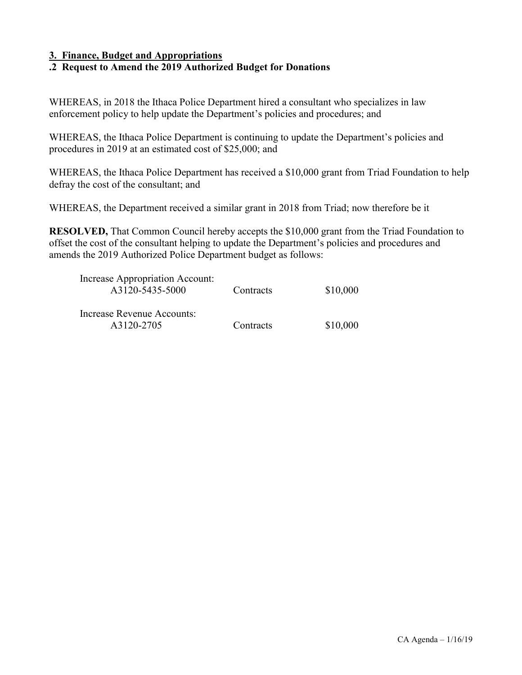#### **3. Finance, Budget and Appropriations**

#### **.2 Request to Amend the 2019 Authorized Budget for Donations**

WHEREAS, in 2018 the Ithaca Police Department hired a consultant who specializes in law enforcement policy to help update the Department's policies and procedures; and

WHEREAS, the Ithaca Police Department is continuing to update the Department's policies and procedures in 2019 at an estimated cost of \$25,000; and

WHEREAS, the Ithaca Police Department has received a \$10,000 grant from Triad Foundation to help defray the cost of the consultant; and

WHEREAS, the Department received a similar grant in 2018 from Triad; now therefore be it

**RESOLVED,** That Common Council hereby accepts the \$10,000 grant from the Triad Foundation to offset the cost of the consultant helping to update the Department's policies and procedures and amends the 2019 Authorized Police Department budget as follows:

| Increase Appropriation Account:<br>A3120-5435-5000 | Contracts | \$10,000 |
|----------------------------------------------------|-----------|----------|
| Increase Revenue Accounts:<br>A3120-2705           | Contracts | \$10,000 |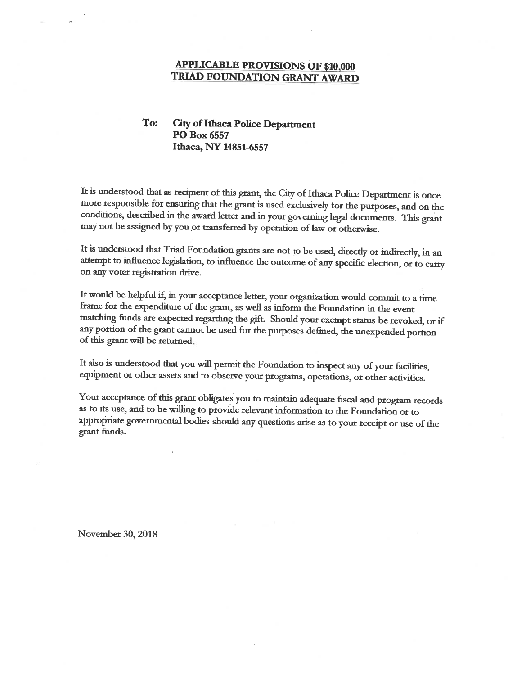#### **APPLICABLE PROVISIONS OF \$10,000** TRIAD FOUNDATION GRANT AWARD

#### To: **City of Ithaca Police Department** PO Box 6557 Ithaca, NY 14851-6557

It is understood that as recipient of this grant, the City of Ithaca Police Department is once more responsible for ensuring that the grant is used exclusively for the purposes, and on the conditions, described in the award letter and in your governing legal documents. This grant may not be assigned by you or transferred by operation of law or otherwise.

It is understood that Triad Foundation grants are not to be used, directly or indirectly, in an attempt to influence legislation, to influence the outcome of any specific election, or to carry on any voter registration drive.

It would be helpful if, in your acceptance letter, your organization would commit to a time frame for the expenditure of the grant, as well as inform the Foundation in the event matching funds are expected regarding the gift. Should your exempt status be revoked, or if any portion of the grant cannot be used for the purposes defined, the unexpended portion of this grant will be returned.

It also is understood that you will permit the Foundation to inspect any of your facilities, equipment or other assets and to observe your programs, operations, or other activities.

Your acceptance of this grant obligates you to maintain adequate fiscal and program records as to its use, and to be willing to provide relevant information to the Foundation or to appropriate governmental bodies should any questions arise as to your receipt or use of the grant funds.

November 30, 2018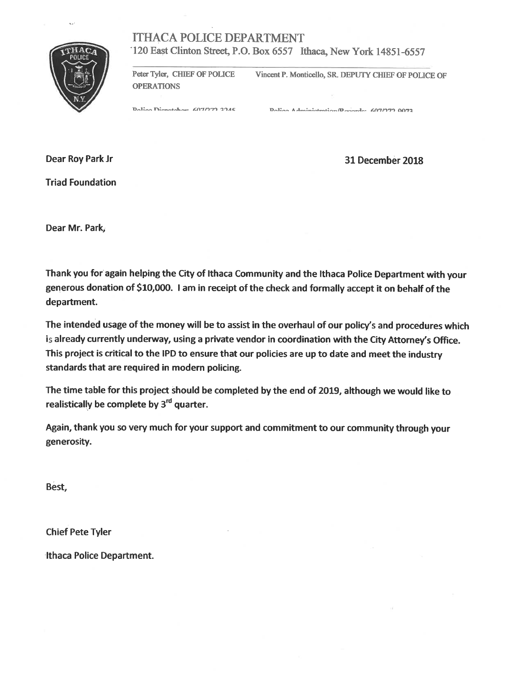# **ITHACA POLICE DEPARTMENT**



 $\sim$ 

120 East Clinton Street, P.O. Box 6557 Ithaca, New York 14851-6557

Peter Tyler, CHIEF OF POLICE Vincent P. Monticello, SR. DEPUTY CHIEF OF POLICE OF **OPERATIONS** 

Dolian Dianotaham 607/272 2245

Doling Administration/December 607/772 0073

Dear Roy Park Jr

**Triad Foundation** 

31 December 2018

Dear Mr. Park,

Thank you for again helping the City of Ithaca Community and the Ithaca Police Department with your generous donation of \$10,000. I am in receipt of the check and formally accept it on behalf of the department.

The intended usage of the money will be to assist in the overhaul of our policy's and procedures which is already currently underway, using a private vendor in coordination with the City Attorney's Office. This project is critical to the IPD to ensure that our policies are up to date and meet the industry standards that are required in modern policing.

The time table for this project should be completed by the end of 2019, although we would like to realistically be complete by 3<sup>rd</sup> quarter.

Again, thank you so very much for your support and commitment to our community through your generosity.

Best,

**Chief Pete Tyler** 

**Ithaca Police Department.**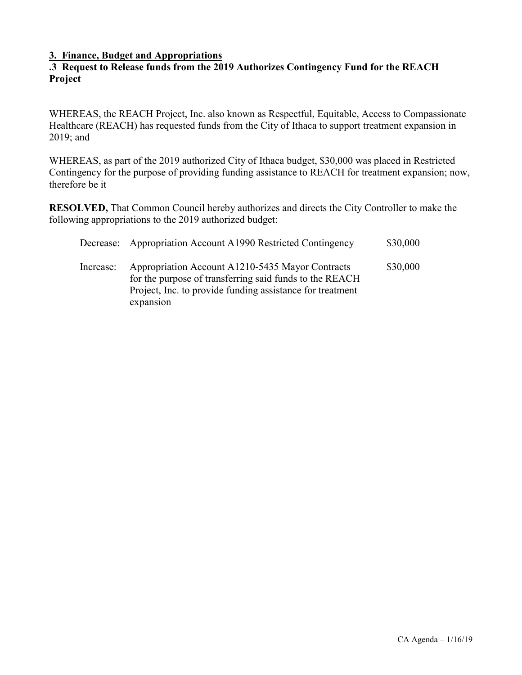#### **3. Finance, Budget and Appropriations**

#### **.3 Request to Release funds from the 2019 Authorizes Contingency Fund for the REACH Project**

WHEREAS, the REACH Project, Inc. also known as Respectful, Equitable, Access to Compassionate Healthcare (REACH) has requested funds from the City of Ithaca to support treatment expansion in 2019; and

WHEREAS, as part of the 2019 authorized City of Ithaca budget, \$30,000 was placed in Restricted Contingency for the purpose of providing funding assistance to REACH for treatment expansion; now, therefore be it

**RESOLVED,** That Common Council hereby authorizes and directs the City Controller to make the following appropriations to the 2019 authorized budget:

|           | Decrease: Appropriation Account A1990 Restricted Contingency                                                                                                                          | \$30,000 |
|-----------|---------------------------------------------------------------------------------------------------------------------------------------------------------------------------------------|----------|
| Increase: | Appropriation Account A1210-5435 Mayor Contracts<br>for the purpose of transferring said funds to the REACH<br>Project, Inc. to provide funding assistance for treatment<br>expansion | \$30,000 |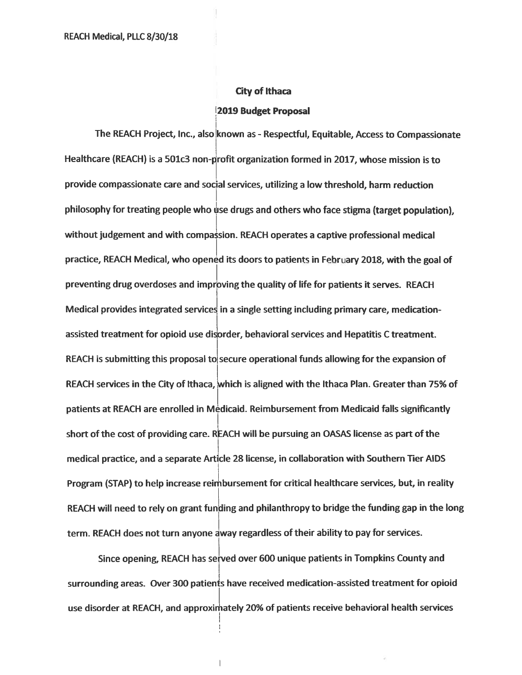#### **City of Ithaca**

#### 2019 Budget Proposal

The REACH Project, Inc., also known as - Respectful, Equitable, Access to Compassionate Healthcare (REACH) is a 501c3 non-profit organization formed in 2017, whose mission is to provide compassionate care and social services, utilizing a low threshold, harm reduction philosophy for treating people who use drugs and others who face stigma (target population). without judgement and with compassion. REACH operates a captive professional medical practice, REACH Medical, who opened its doors to patients in February 2018, with the goal of preventing drug overdoses and improving the quality of life for patients it serves. REACH Medical provides integrated services in a single setting including primary care, medicationassisted treatment for opioid use disorder, behavioral services and Hepatitis C treatment. REACH is submitting this proposal to secure operational funds allowing for the expansion of REACH services in the City of Ithaca, which is aligned with the Ithaca Plan. Greater than 75% of patients at REACH are enrolled in Medicaid. Reimbursement from Medicaid falls significantly short of the cost of providing care. REACH will be pursuing an OASAS license as part of the medical practice, and a separate Article 28 license, in collaboration with Southern Tier AIDS Program (STAP) to help increase reimbursement for critical healthcare services, but, in reality REACH will need to rely on grant funding and philanthropy to bridge the funding gap in the long term. REACH does not turn anyone away regardless of their ability to pay for services.

Since opening, REACH has served over 600 unique patients in Tompkins County and surrounding areas. Over 300 patients have received medication-assisted treatment for opioid use disorder at REACH, and approximately 20% of patients receive behavioral health services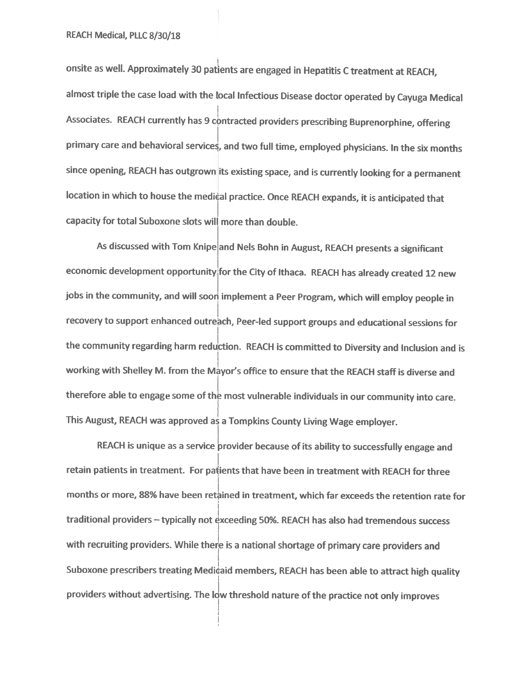onsite as well. Approximately 30 patients are engaged in Hepatitis C treatment at REACH, almost triple the case load with the local Infectious Disease doctor operated by Cayuga Medical Associates. REACH currently has 9 contracted providers prescribing Buprenorphine, offering primary care and behavioral services, and two full time, employed physicians. In the six months since opening, REACH has outgrown its existing space, and is currently looking for a permanent location in which to house the medical practice. Once REACH expands, it is anticipated that capacity for total Suboxone slots will more than double.

As discussed with Tom Knipe and Nels Bohn in August, REACH presents a significant economic development opportunity for the City of Ithaca. REACH has already created 12 new jobs in the community, and will soon implement a Peer Program, which will employ people in recovery to support enhanced outreach, Peer-led support groups and educational sessions for the community regarding harm reduction. REACH is committed to Diversity and Inclusion and is working with Shelley M. from the Mayor's office to ensure that the REACH staff is diverse and therefore able to engage some of the most vulnerable individuals in our community into care. This August, REACH was approved as a Tompkins County Living Wage employer.

REACH is unique as a service provider because of its ability to successfully engage and retain patients in treatment. For patients that have been in treatment with REACH for three months or more, 88% have been retained in treatment, which far exceeds the retention rate for traditional providers - typically not exceeding 50%. REACH has also had tremendous success with recruiting providers. While there is a national shortage of primary care providers and Suboxone prescribers treating Medicaid members, REACH has been able to attract high quality providers without advertising. The low threshold nature of the practice not only improves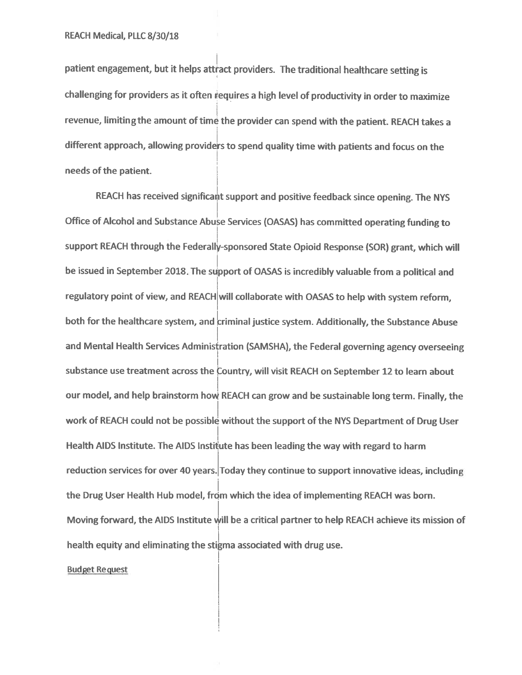patient engagement, but it helps attract providers. The traditional healthcare setting is challenging for providers as it often requires a high level of productivity in order to maximize revenue, limiting the amount of time the provider can spend with the patient. REACH takes a different approach, allowing providers to spend quality time with patients and focus on the needs of the patient.

REACH has received significant support and positive feedback since opening. The NYS Office of Alcohol and Substance Abuse Services (OASAS) has committed operating funding to support REACH through the Federally-sponsored State Opioid Response (SOR) grant, which will be issued in September 2018. The support of OASAS is incredibly valuable from a political and regulatory point of view, and REACH will collaborate with OASAS to help with system reform. both for the healthcare system, and criminal justice system. Additionally, the Substance Abuse and Mental Health Services Administration (SAMSHA), the Federal governing agency overseeing substance use treatment across the Country, will visit REACH on September 12 to learn about our model, and help brainstorm how REACH can grow and be sustainable long term. Finally, the work of REACH could not be possible without the support of the NYS Department of Drug User Health AIDS Institute. The AIDS Institute has been leading the way with regard to harm reduction services for over 40 years. Today they continue to support innovative ideas, including the Drug User Health Hub model, from which the idea of implementing REACH was born. Moving forward, the AIDS Institute will be a critical partner to help REACH achieve its mission of health equity and eliminating the stigma associated with drug use.

**Budget Request**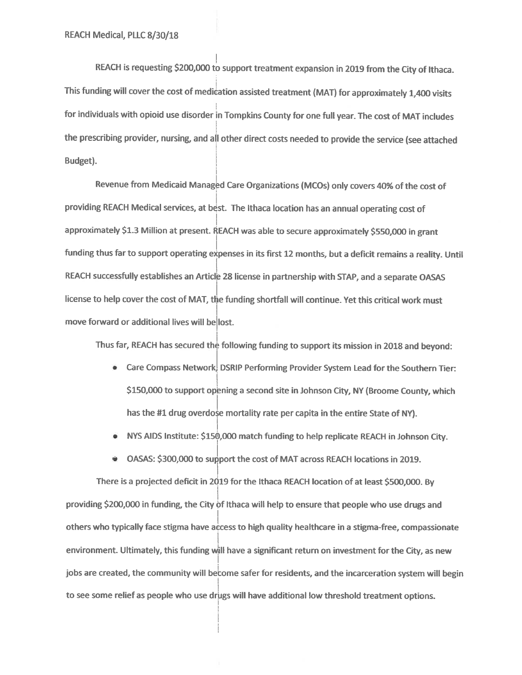REACH is requesting \$200,000 to support treatment expansion in 2019 from the City of Ithaca. This funding will cover the cost of medication assisted treatment (MAT) for approximately 1,400 visits for individuals with opioid use disorder in Tompkins County for one full year. The cost of MAT includes the prescribing provider, nursing, and all other direct costs needed to provide the service (see attached Budget).

Revenue from Medicaid Managed Care Organizations (MCOs) only covers 40% of the cost of providing REACH Medical services, at best. The Ithaca location has an annual operating cost of approximately \$1.3 Million at present. REACH was able to secure approximately \$550,000 in grant funding thus far to support operating expenses in its first 12 months, but a deficit remains a reality. Until REACH successfully establishes an Article 28 license in partnership with STAP, and a separate OASAS license to help cover the cost of MAT, the funding shortfall will continue. Yet this critical work must move forward or additional lives will be lost.

Thus far, REACH has secured the following funding to support its mission in 2018 and beyond:

- Care Compass Network, DSRIP Performing Provider System Lead for the Southern Tier: \$150,000 to support opening a second site in Johnson City, NY (Broome County, which has the #1 drug overdose mortality rate per capita in the entire State of NY).
- NYS AIDS Institute: \$150,000 match funding to help replicate REACH in Johnson City.

• OASAS: \$300,000 to support the cost of MAT across REACH locations in 2019.

There is a projected deficit in 2019 for the Ithaca REACH location of at least \$500,000. By providing \$200,000 in funding, the City of Ithaca will help to ensure that people who use drugs and others who typically face stigma have access to high quality healthcare in a stigma-free, compassionate environment. Ultimately, this funding will have a significant return on investment for the City, as new jobs are created, the community will become safer for residents, and the incarceration system will begin to see some relief as people who use drugs will have additional low threshold treatment options.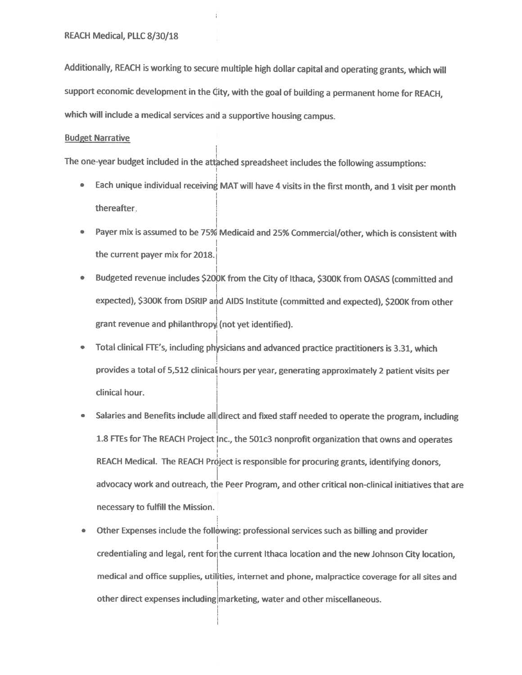Additionally, REACH is working to secure multiple high dollar capital and operating grants, which will support economic development in the City, with the goal of building a permanent home for REACH, which will include a medical services and a supportive housing campus.

#### **Budget Narrative**

The one-year budget included in the attached spreadsheet includes the following assumptions:

- $\bullet$ Each unique individual receiving MAT will have 4 visits in the first month, and 1 visit per month thereafter.
- $\bullet$ Payer mix is assumed to be 75% Medicaid and 25% Commercial/other, which is consistent with the current payer mix for 2018.
- Budgeted revenue includes \$200K from the City of Ithaca, \$300K from OASAS (committed and  $\bullet$ expected), \$300K from DSRIP and AIDS Institute (committed and expected), \$200K from other grant revenue and philanthropy (not yet identified).
- Total clinical FTE's, including physicians and advanced practice practitioners is 3.31, which  $\bullet$ provides a total of 5,512 clinical hours per year, generating approximately 2 patient visits per clinical hour.
- Salaries and Benefits include all direct and fixed staff needed to operate the program, including 1.8 FTEs for The REACH Project Inc., the 501c3 nonprofit organization that owns and operates REACH Medical. The REACH Project is responsible for procuring grants, identifying donors, advocacy work and outreach, the Peer Program, and other critical non-clinical initiatives that are necessary to fulfill the Mission.
- Other Expenses include the following: professional services such as billing and provider  $\bullet$ credentialing and legal, rent for the current Ithaca location and the new Johnson City location, medical and office supplies, utilities, internet and phone, malpractice coverage for all sites and other direct expenses including marketing, water and other miscellaneous.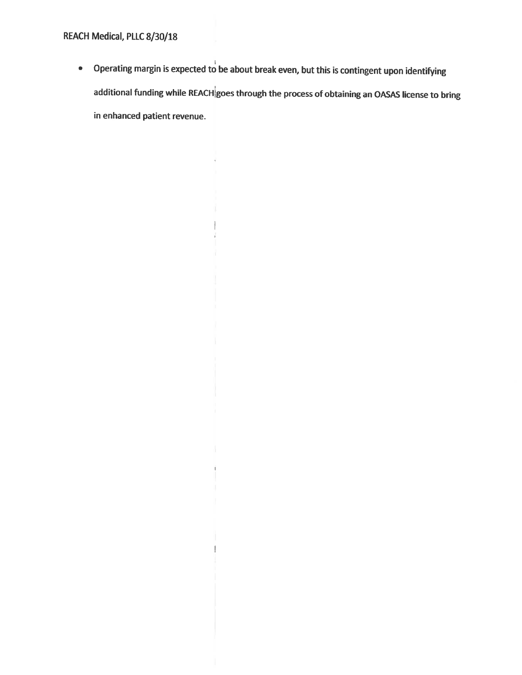• Operating margin is expected to be about break even, but this is contingent upon identifying additional funding while REACH goes through the process of obtaining an OASAS license to bring in enhanced patient revenue.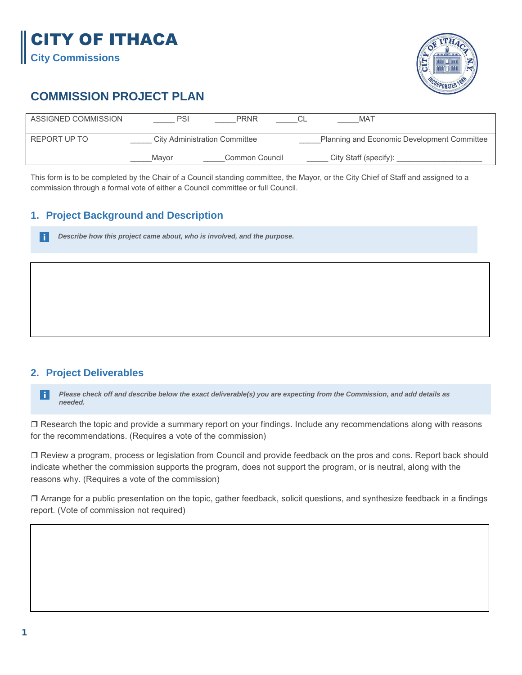

# **COMMISSION PROJECT PLAN**

| ASSIGNED COMMISSION | PSI   | <b>PRNR</b>                          | MA1                                         |  |
|---------------------|-------|--------------------------------------|---------------------------------------------|--|
| REPORT UP TO        |       | <b>City Administration Committee</b> | Planning and Economic Development Committee |  |
|                     | Mavor | Common Council                       | City Staff (specify):                       |  |

This form is to be completed by the Chair of a Council standing committee, the Mayor, or the City Chief of Staff and assigned to a commission through a formal vote of either a Council committee or full Council.

## **1. Project Background and Description**

*Describe how this project came about, who is involved, and the purpose.*

#### **2. Project Deliverables**

H

*Please check off and describe below the exact deliverable(s) you are expecting from the Commission, and add details as*  l i l *needed.* 

□ Research the topic and provide a summary report on your findings. Include any recommendations along with reasons for the recommendations. (Requires a vote of the commission)

 Review a program, process or legislation from Council and provide feedback on the pros and cons. Report back should indicate whether the commission supports the program, does not support the program, or is neutral, along with the reasons why. (Requires a vote of the commission)

 Arrange for a public presentation on the topic, gather feedback, solicit questions, and synthesize feedback in a findings report. (Vote of commission not required)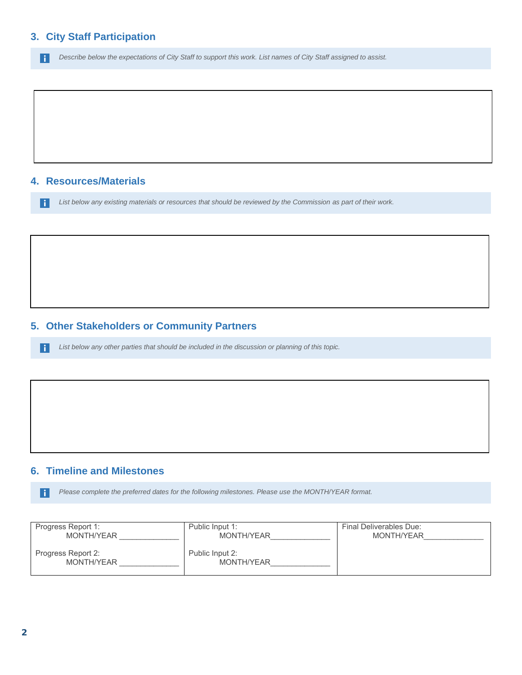*Describe below the expectations of City Staff to support this work. List names of City Staff assigned to assist.*  $\vert \cdot \vert$ 

#### **4. Resources/Materials**

 $\vert \; \vert$ 

*List below any existing materials or resources that should be reviewed by the Commission as part of their work.* H

### **5. Other Stakeholders or Community Partners**

*List below any other parties that should be included in the discussion or planning of this topic.*

#### **6. Timeline and Milestones**

*Please complete the preferred dates for the following milestones. Please use the MONTH/YEAR format.* Ħ

| Progress Report 1:               | Public Input 1:               | Final Deliverables Due: |
|----------------------------------|-------------------------------|-------------------------|
| MONTH/YEAR                       | MONTH/YEAR                    | MONTH/YEAR              |
| Progress Report 2:<br>MONTH/YEAR | Public Input 2:<br>MONTH/YEAR |                         |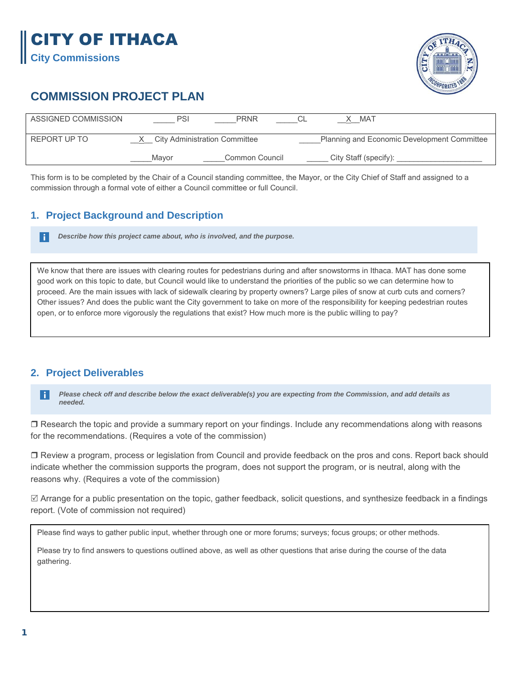# CITY OF ITHACA

**City Commissions** 

H



# **COMMISSION PROJECT PLAN**

| ASSIGNED COMMISSION | PSI   | <b>PRNR</b>                          | MAT                                         |  |
|---------------------|-------|--------------------------------------|---------------------------------------------|--|
| REPORT UP TO        |       | <b>City Administration Committee</b> | Planning and Economic Development Committee |  |
|                     | Mavor | Common Council                       | City Staff (specify):                       |  |

This form is to be completed by the Chair of a Council standing committee, the Mayor, or the City Chief of Staff and assigned to a commission through a formal vote of either a Council committee or full Council.

# **1. Project Background and Description**

*Describe how this project came about, who is involved, and the purpose.*

We know that there are issues with clearing routes for pedestrians during and after snowstorms in Ithaca. MAT has done some good work on this topic to date, but Council would like to understand the priorities of the public so we can determine how to proceed. Are the main issues with lack of sidewalk clearing by property owners? Large piles of snow at curb cuts and corners? Other issues? And does the public want the City government to take on more of the responsibility for keeping pedestrian routes open, or to enforce more vigorously the regulations that exist? How much more is the public willing to pay?

## **2. Project Deliverables**

*Please check off and describe below the exact deliverable(s) you are expecting from the Commission, and add details as*   $\vert \cdot \vert$ *needed.* 

□ Research the topic and provide a summary report on your findings. Include any recommendations along with reasons for the recommendations. (Requires a vote of the commission)

 Review a program, process or legislation from Council and provide feedback on the pros and cons. Report back should indicate whether the commission supports the program, does not support the program, or is neutral, along with the reasons why. (Requires a vote of the commission)

 $\boxtimes$  Arrange for a public presentation on the topic, gather feedback, solicit questions, and synthesize feedback in a findings report. (Vote of commission not required)

Please find ways to gather public input, whether through one or more forums; surveys; focus groups; or other methods.

Please try to find answers to questions outlined above, as well as other questions that arise during the course of the data gathering.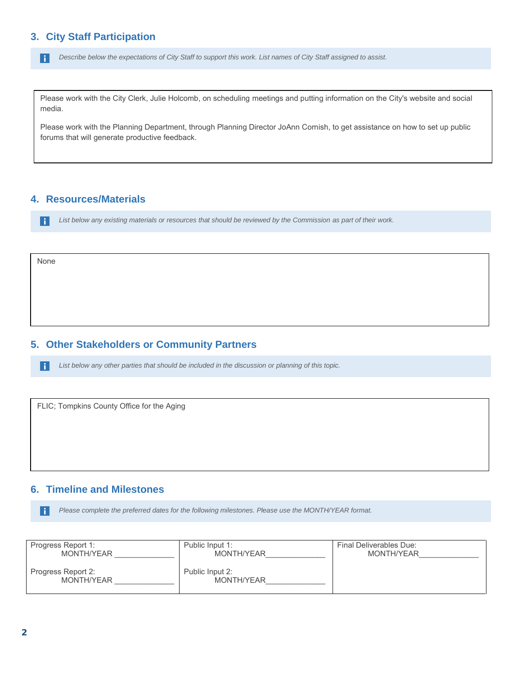H *Describe below the expectations of City Staff to support this work. List names of City Staff assigned to assist.*

Please work with the City Clerk, Julie Holcomb, on scheduling meetings and putting information on the City's website and social media.

Please work with the Planning Department, through Planning Director JoAnn Cornish, to get assistance on how to set up public forums that will generate productive feedback.

#### **4. Resources/Materials**

*List below any existing materials or resources that should be reviewed by the Commission as part of their work.*  $\mid \cdot \mid$ 

None

#### **5. Other Stakeholders or Community Partners**

*List below any other parties that should be included in the discussion or planning of this topic.*  $\vert \cdot \vert$ 

FLIC; Tompkins County Office for the Aging

#### **6. Timeline and Milestones**

*Please complete the preferred dates for the following milestones. Please use the MONTH/YEAR format.* l i l

| Progress Report 1:               | Public Input 1:               | Final Deliverables Due: |
|----------------------------------|-------------------------------|-------------------------|
| MONTH/YEAR                       | MONTH/YEAR                    | MONTH/YEAR              |
| Progress Report 2:<br>MONTH/YEAR | Public Input 2:<br>MONTH/YEAR |                         |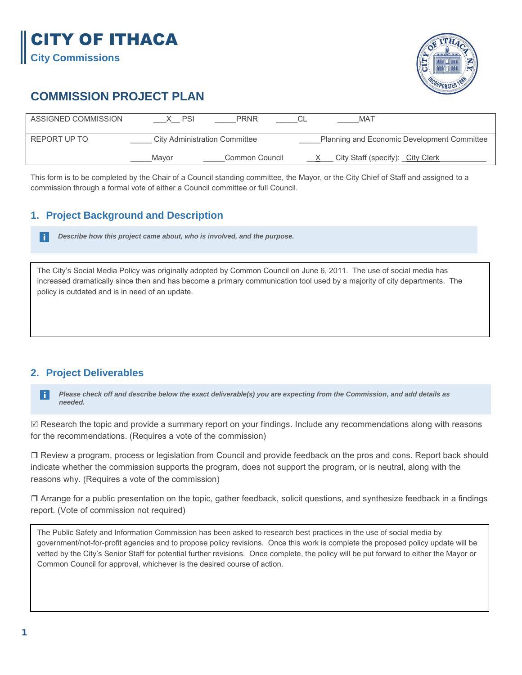# CITY OF ITHACA **City Commissions**

# **COMMISSION PROJECT PLAN**

| ASSIGNED COMMISSION | PSI                                  | <b>PRNR</b>    |                                             | <b>MAT</b>                       |  |
|---------------------|--------------------------------------|----------------|---------------------------------------------|----------------------------------|--|
| REPORT UP TO        | <b>City Administration Committee</b> |                | Planning and Economic Development Committee |                                  |  |
|                     | Mavor                                | Common Council |                                             | City Staff (specify): City Clerk |  |

This form is to be completed by the Chair of a Council standing committee, the Mayor, or the City Chief of Staff and assigned to a commission through a formal vote of either a Council committee or full Council.

## **1. Project Background and Description**

*Describe how this project came about, who is involved, and the purpose.*

The City's Social Media Policy was originally adopted by Common Council on June 6, 2011. The use of social media has increased dramatically since then and has become a primary communication tool used by a majority of city departments. The policy is outdated and is in need of an update.

## **2. Project Deliverables**

H

*Please check off and describe below the exact deliverable(s) you are expecting from the Commission, and add details as*   $\vert \cdot \vert$ *needed.* 

 Research the topic and provide a summary report on your findings. Include any recommendations along with reasons for the recommendations. (Requires a vote of the commission)

 Review a program, process or legislation from Council and provide feedback on the pros and cons. Report back should indicate whether the commission supports the program, does not support the program, or is neutral, along with the reasons why. (Requires a vote of the commission)

 $\Box$  Arrange for a public presentation on the topic, gather feedback, solicit questions, and synthesize feedback in a findings report. (Vote of commission not required)

The Public Safety and Information Commission has been asked to research best practices in the use of social media by government/not-for-profit agencies and to propose policy revisions. Once this work is complete the proposed policy update will be vetted by the City's Senior Staff for potential further revisions. Once complete, the policy will be put forward to either the Mayor or Common Council for approval, whichever is the desired course of action.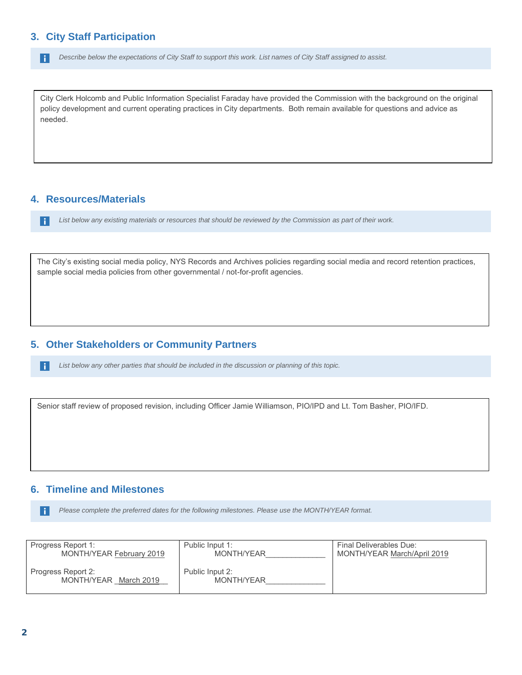H *Describe below the expectations of City Staff to support this work. List names of City Staff assigned to assist.*

City Clerk Holcomb and Public Information Specialist Faraday have provided the Commission with the background on the original policy development and current operating practices in City departments. Both remain available for questions and advice as needed.

#### **4. Resources/Materials**

 $\mid \cdot \mid$ 

H

*List below any existing materials or resources that should be reviewed by the Commission as part of their work.*

The City's existing social media policy, NYS Records and Archives policies regarding social media and record retention practices, sample social media policies from other governmental / not-for-profit agencies.

#### **5. Other Stakeholders or Community Partners**

*List below any other parties that should be included in the discussion or planning of this topic.*

Senior staff review of proposed revision, including Officer Jamie Williamson, PIO/IPD and Lt. Tom Basher, PIO/IFD.

#### **6. Timeline and Milestones**

*Please complete the preferred dates for the following milestones. Please use the MONTH/YEAR format.* h.

| Progress Report 1:                          | Public Input 1:               | Final Deliverables Due:     |
|---------------------------------------------|-------------------------------|-----------------------------|
| MONTH/YEAR February 2019                    | MONTH/YEAR                    | MONTH/YEAR March/April 2019 |
| Progress Report 2:<br>MONTH/YEAR March 2019 | Public Input 2:<br>MONTH/YEAR |                             |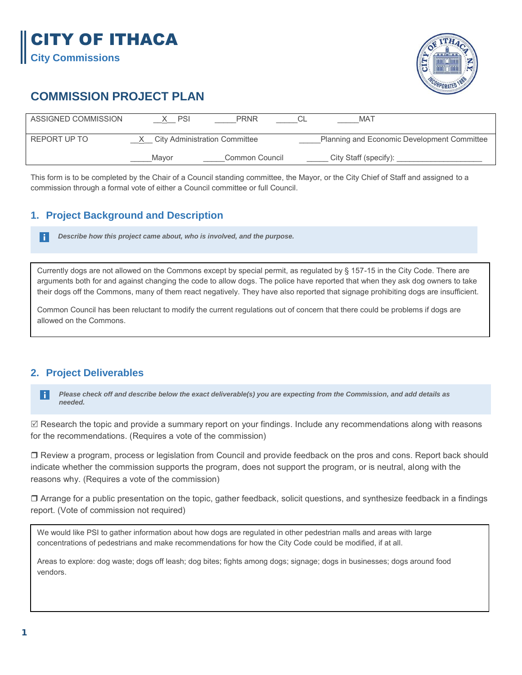# CITY OF ITHACA

**City Commissions** 



# **COMMISSION PROJECT PLAN**

| ASSIGNED COMMISSION | <b>PSI</b>                           | <b>PRNR</b>    | <b>MAT</b>                                  |  |
|---------------------|--------------------------------------|----------------|---------------------------------------------|--|
| REPORT UP TO        | <b>City Administration Committee</b> |                | Planning and Economic Development Committee |  |
|                     | Mavor                                | Common Council | City Staff (specify):                       |  |

This form is to be completed by the Chair of a Council standing committee, the Mayor, or the City Chief of Staff and assigned to a commission through a formal vote of either a Council committee or full Council.

## **1. Project Background and Description**

h. *Describe how this project came about, who is involved, and the purpose.*

Currently dogs are not allowed on the Commons except by special permit, as regulated by § 157-15 in the City Code. There are arguments both for and against changing the code to allow dogs. The police have reported that when they ask dog owners to take their dogs off the Commons, many of them react negatively. They have also reported that signage prohibiting dogs are insufficient.

Common Council has been reluctant to modify the current regulations out of concern that there could be problems if dogs are allowed on the Commons.

## **2. Project Deliverables**

*Please check off and describe below the exact deliverable(s) you are expecting from the Commission, and add details as*   $\vert \cdot \vert$ *needed.* 

 $\boxtimes$  Research the topic and provide a summary report on your findings. Include any recommendations along with reasons for the recommendations. (Requires a vote of the commission)

 Review a program, process or legislation from Council and provide feedback on the pros and cons. Report back should indicate whether the commission supports the program, does not support the program, or is neutral, along with the reasons why. (Requires a vote of the commission)

 $\Box$  Arrange for a public presentation on the topic, gather feedback, solicit questions, and synthesize feedback in a findings report. (Vote of commission not required)

We would like PSI to gather information about how dogs are regulated in other pedestrian malls and areas with large concentrations of pedestrians and make recommendations for how the City Code could be modified, if at all.

Areas to explore: dog waste; dogs off leash; dog bites; fights among dogs; signage; dogs in businesses; dogs around food vendors.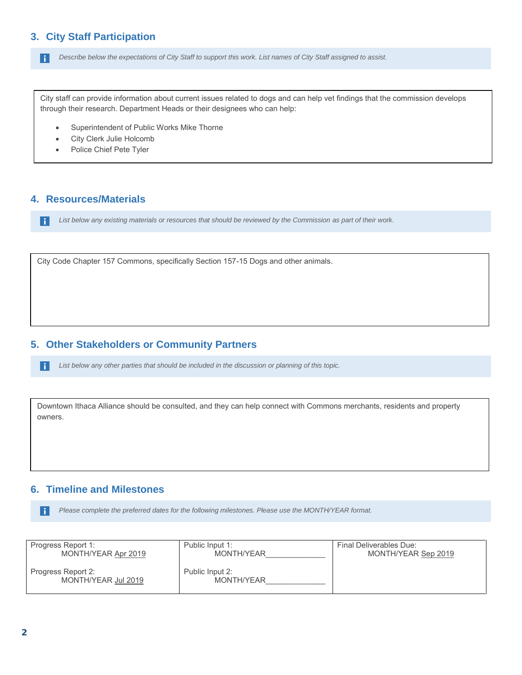H *Describe below the expectations of City Staff to support this work. List names of City Staff assigned to assist.*

City staff can provide information about current issues related to dogs and can help vet findings that the commission develops through their research. Department Heads or their designees who can help:

- Superintendent of Public Works Mike Thorne
- City Clerk Julie Holcomb
- Police Chief Pete Tyler

#### **4. Resources/Materials**

 $\mid \cdot \mid$ 

H

*List below any existing materials or resources that should be reviewed by the Commission as part of their work.*

City Code Chapter 157 Commons, specifically Section 157-15 Dogs and other animals.

#### **5. Other Stakeholders or Community Partners**

*List below any other parties that should be included in the discussion or planning of this topic.*

Downtown Ithaca Alliance should be consulted, and they can help connect with Commons merchants, residents and property owners.

#### **6. Timeline and Milestones**

*Please complete the preferred dates for the following milestones. Please use the MONTH/YEAR format.* H

| Progress Report 1:                        | Public Input 1:               | Final Deliverables Due: |
|-------------------------------------------|-------------------------------|-------------------------|
| MONTH/YEAR Apr 2019                       | MONTH/YEAR                    | MONTH/YEAR Sep 2019     |
| Progress Report 2:<br>MONTH/YEAR Jul 2019 | Public Input 2:<br>MONTH/YEAR |                         |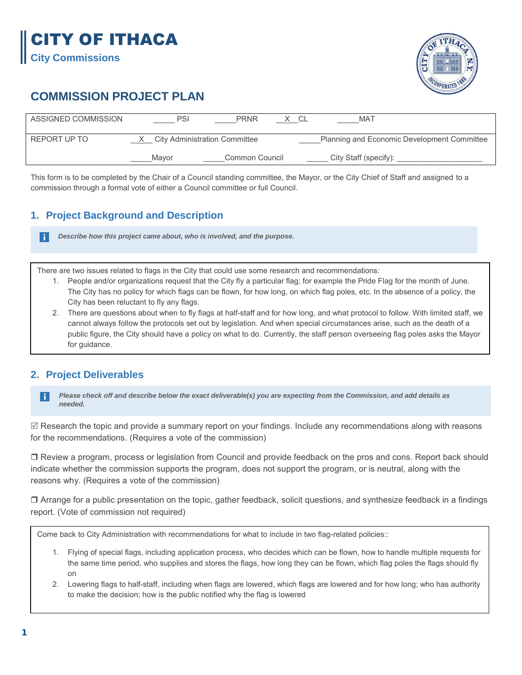# CITY OF ITHACA

**City Commissions** 

H.



# **COMMISSION PROJECT PLAN**

| ASSIGNED COMMISSION | PSI                                  | <b>PRNR</b>    | MA <sub>1</sub>                             |
|---------------------|--------------------------------------|----------------|---------------------------------------------|
| REPORT UP TO        | <b>City Administration Committee</b> |                | Planning and Economic Development Committee |
|                     | Mavor                                | Common Council | City Staff (specify):                       |

This form is to be completed by the Chair of a Council standing committee, the Mayor, or the City Chief of Staff and assigned to a commission through a formal vote of either a Council committee or full Council.

# **1. Project Background and Description**

*Describe how this project came about, who is involved, and the purpose.*

There are two issues related to flags in the City that could use some research and recommendations:

- 1. People and/or organizations request that the City fly a particular flag; for example the Pride Flag for the month of June. The City has no policy for which flags can be flown, for how long, on which flag poles, etc. In the absence of a policy, the City has been reluctant to fly any flags.
- 2. There are questions about when to fly flags at half-staff and for how long, and what protocol to follow. With limited staff, we cannot always follow the protocols set out by legislation. And when special circumstances arise, such as the death of a public figure, the City should have a policy on what to do. Currently, the staff person overseeing flag poles asks the Mayor for guidance.

# **2. Project Deliverables**

*Please check off and describe below the exact deliverable(s) you are expecting from the Commission, and add details as*  H *needed.* 

 $\boxtimes$  Research the topic and provide a summary report on your findings. Include any recommendations along with reasons for the recommendations. (Requires a vote of the commission)

 Review a program, process or legislation from Council and provide feedback on the pros and cons. Report back should indicate whether the commission supports the program, does not support the program, or is neutral, along with the reasons why. (Requires a vote of the commission)

 Arrange for a public presentation on the topic, gather feedback, solicit questions, and synthesize feedback in a findings report. (Vote of commission not required)

Come back to City Administration with recommendations for what to include in two flag-related policies::

- 1. Flying of special flags, including application process, who decides which can be flown, how to handle multiple requests for the same time period, who supplies and stores the flags, how long they can be flown, which flag poles the flags should fly on
- 2. Lowering flags to half-staff, including when flags are lowered, which flags are lowered and for how long; who has authority to make the decision; how is the public notified why the flag is lowered